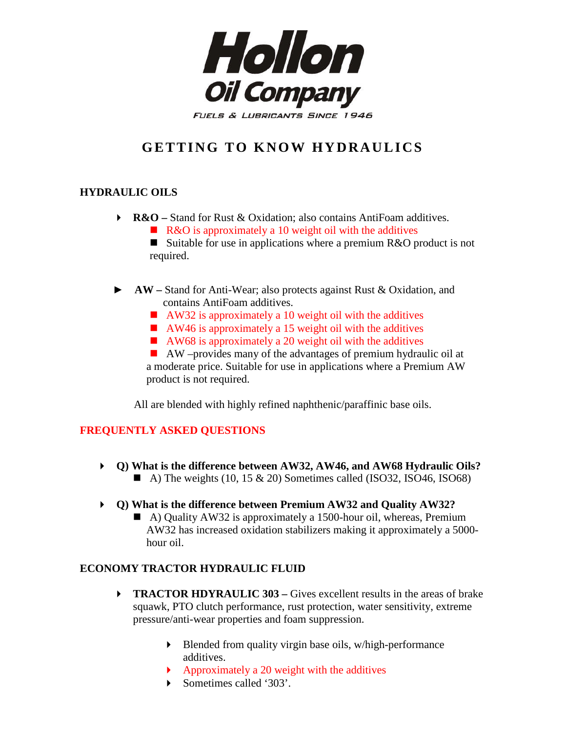

# **GETTING TO KNOW HYDRAULICS**

## **HYDRAULIC OILS**

- **► R&O** Stand for Rust & Oxidation; also contains AntiFoam additives.
	- R&O is approximately a 10 weight oil with the additives

■ Suitable for use in applications where a premium R&O product is not required.

- ► **AW –** Stand for Anti-Wear; also protects against Rust & Oxidation, and contains AntiFoam additives.
	- $\blacksquare$  AW32 is approximately a 10 weight oil with the additives
	- $\blacksquare$  AW46 is approximately a 15 weight oil with the additives
	- $\blacksquare$  AW68 is approximately a 20 weight oil with the additives

 AW –provides many of the advantages of premium hydraulic oil at a moderate price. Suitable for use in applications where a Premium AW product is not required.

All are blended with highly refined naphthenic/paraffinic base oils.

### **FREQUENTLY ASKED QUESTIONS**

- **Q) What is the difference between AW32, AW46, and AW68 Hydraulic Oils?** A) The weights (10, 15  $\&$  20) Sometimes called (ISO32, ISO46, ISO68)
- **Q) What is the difference between Premium AW32 and Quality AW32?**
	- A) Quality AW32 is approximately a 1500-hour oil, whereas, Premium AW32 has increased oxidation stabilizers making it approximately a 5000 hour oil.

### **ECONOMY TRACTOR HYDRAULIC FLUID**

- **FRACTOR HDYRAULIC 303 Gives excellent results in the areas of brake** squawk, PTO clutch performance, rust protection, water sensitivity, extreme pressure/anti-wear properties and foam suppression.
	- Blended from quality virgin base oils, w/high-performance additives.
	- Approximately a 20 weight with the additives
	- Sometimes called '303'.